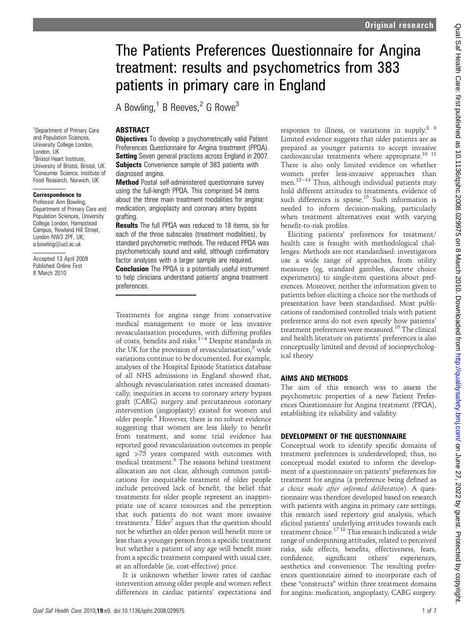# The Patients Preferences Questionnaire for Angina treatment: results and psychometrics from 383 patients in primary care in England

A Bowling, $1$  B Reeves, $2$  G Rowe<sup>3</sup>

# **ABSTRACT**

**Objectives** To develop a psychometrically valid Patient Preferences Questionnaire for Angina treatment (PPQA). **Setting** Seven general practices across England in 2007. **Subjects** Convenience sample of 383 patients with diagnosed angina.

Method Postal self-administered questionnaire survey using the full-length PPQA. This comprised 54 items about the three main treatment modalities for angina: medication, angioplasty and coronary artery bypass grafting.

**Results** The full PPQA was reduced to 18 items, six for each of the three subscales (treatment modalities), by standard psychometric methods. The reduced PPQA was psychometrically sound and valid, although confirmatory factor analyses with a larger sample are required. **Conclusion** The PPQA is a potentially useful instrument to help clinicians understand patients' angina treatment preferences.

Treatments for angina range from conservative medical management to more or less invasive revascularisation procedures, with differing profiles of costs, benefits and risks.<sup>1-4</sup> Despite standards in the UK for the provision of revascularisation, $5$  wide variations continue to be documented. For example, analyses of the Hospital Episode Statistics database of all NHS admissions in England showed that, although revascularisation rates increased dramatically, inequities in access to coronary artery bypass graft (CABG) surgery and percutaneous coronary intervention (angioplasty) existed for women and older people.<sup>4</sup> However, there is no robust evidence suggesting that women are less likely to benefit from treatment, and some trial evidence has reported good revascularisation outcomes in people aged  $>75$  years compared with outcomes with medical treatment.<sup>6</sup> The reasons behind treatment allocation are not clear, although common justifications for inequitable treatment of older people include perceived lack of benefit, the belief that treatments for older people represent an inappropriate use of scarce resources and the perception that such patients do not want more invasive treatments.<sup>7</sup> Elder<sup>7</sup> argues that the question should not be whether an older person will benefit more or less than a younger person from a specific treatment but whether a patient of any age will benefit more from a specific treatment compared with usual care, at an affordable (ie, cost-effective) price.

It is unknown whether lower rates of cardiac intervention among older people and women reflect differences in cardiac patients' expectations and responses to illness, or variations in supply.<sup>8</sup>  $9$ Limited evidence suggests that older patients are as prepared as younger patients to accept invasive cardiovascular treatments where appropriate.<sup>10</sup>  $^{11}$ There is also only limited evidence on whether women prefer less-invasive approaches than men. $12-14$  Thus, although individual patients may hold different attitudes to treatments, evidence of such differences is sparse.<sup>15</sup> Such information is needed to inform decision-making, particularly when treatment alternatives exist with varying benefit-to-risk profiles.

Eliciting patients' preferences for treatment/ health care is fraught with methodological challenges. Methods are not standardised: investigators use a wide range of approaches, from utility measures (eg, standard gambles, discrete choice experiments) to single-item questions about preferences. Moreover, neither the information given to patients before eliciting a choice nor the methods of presentation have been standardised. Most publications of randomised controlled trials with patient preference arms do not even specify how patients' treatment preferences were measured.<sup>16</sup> The clinical and health literature on patients' preferences is also conceptually limited and devoid of sociopsychological theory.

# AIMS AND METHODS

The aim of this research was to assess the psychometric properties of a new Patient Preferences Questionnaire for Angina treatment (PPQA), establishing its reliability and validity.

# DEVELOPMENT OF THE QUESTIONNAIRE

Conceptual work to identify specific domains of treatment preferences is underdeveloped; thus, no conceptual model existed to inform the development of a questionnaire on patients' preferences for treatment for angina (a preference being defined as a choice made after informed deliberation). A questionnaire was therefore developed based on research with patients with angina in primary care settings; this research used repertory grid analysis, which elicited patients' underlying attitudes towards each treatment choice.<sup>17</sup> <sup>18</sup> This research indicated a wide range of underpinning attitudes, related to perceived risks, side effects, benefits, effectiveness, fears, confidence, significant others' experiences, aesthetics and convenience. The resulting preferences questionnaire aimed to incorporate each of these "constructs" within three treatment domains for angina: medication, angioplasty, CABG surgery.

<sup>1</sup>Department of Primary Care and Population Sciences, University College London, London, UK <sup>2</sup> Bristol Heart Institute, University of Bristol, Bristol, UK 3 Consumer Science, Institute of Food Research, Norwich, UK

# Correspondence to

Professor Ann Bowling, Department of Primary Care and Population Sciences, University College London, Hampstead Campus, Rowland Hill Street, London NW3 2PF, UK; a.bowling@ucl.ac.uk

Accepted 13 April 2009 Published Online First 8 March 2010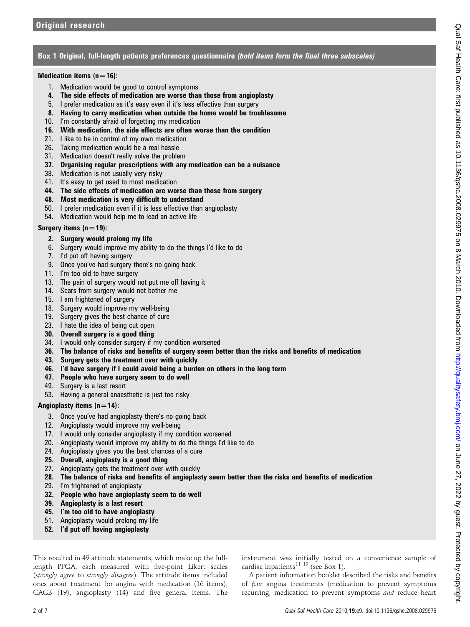# Box 1 Original, full-length patients preferences questionnaire *(bold items form the final three subscales)*

# Medication items  $(n=16)$ :

- 1. Medication would be good to control symptoms
- 4. The side effects of medication are worse than those from angioplasty
- 5. I prefer medication as it's easy even if it's less effective than surgery
- 8. Having to carry medication when outside the home would be troublesome
- 10. I'm constantly afraid of forgetting my medication
- 16. With medication, the side effects are often worse than the condition
- 21. I like to be in control of my own medication
- 26. Taking medication would be a real hassle
- 31. Medication doesn't really solve the problem
- 37. Organising regular prescriptions with any medication can be a nuisance
- 38. Medication is not usually very risky
- 41. It's easy to get used to most medication
- 44. The side effects of medication are worse than those from surgery
- 48. Most medication is very difficult to understand
- 50. I prefer medication even if it is less effective than angioplasty
- 54. Medication would help me to lead an active life

## Surgery items  $(n=19)$ :

- 2. Surgery would prolong my life
- 6. Surgery would improve my ability to do the things I'd like to do
- 7. I'd put off having surgery
- 9. Once you've had surgery there's no going back
- 11. I'm too old to have surgery
- 13. The pain of surgery would not put me off having it
- 14. Scars from surgery would not bother me
- 15. I am frightened of surgery
- 18. Surgery would improve my well-being
- 19. Surgery gives the best chance of cure
- 23. I hate the idea of being cut open
- 30. Overall surgery is a good thing
- 34. I would only consider surgery if my condition worsened
- 36. The balance of risks and benefits of surgery seem better than the risks and benefits of medication
- 43. Surgery gets the treatment over with quickly
- 46. I'd have surgery if I could avoid being a burden on others in the long term
- 47. People who have surgery seem to do well
- 49. Surgery is a last resort
- 53. Having a general anaesthetic is just too risky

## Angioplasty items  $(n=14)$ :

- 3. Once you've had angioplasty there's no going back
- 12. Angioplasty would improve my well-being
- 17. I would only consider angioplasty if my condition worsened
- 20. Angioplasty would improve my ability to do the things I'd like to do
- 24. Angioplasty gives you the best chances of a cure
- 25. Overall, angioplasty is a good thing
- 27. Angioplasty gets the treatment over with quickly
- 28. The balance of risks and benefits of angioplasty seem better than the risks and benefits of medication
- 29. I'm frightened of angioplasty
- 32. People who have angioplasty seem to do well
- 39. Angioplasty is a last resort
- 45. I'm too old to have angioplasty
- 51. Angioplasty would prolong my life
- 52. I'd put off having angioplasty

This resulted in 49 attitude statements, which make up the fulllength PPQA, each measured with five-point Likert scales (strongly agree to strongly disagree). The attitude items included ones about treatment for angina with medication (16 items), CAGB (19), angioplasty (14) and five general items. The instrument was initially tested on a convenience sample of cardiac inpatients<sup>11 19</sup> (see Box 1).

A patient information booklet described the risks and benefits of four angina treatments (medication to prevent symptoms recurring, medication to prevent symptoms and reduce heart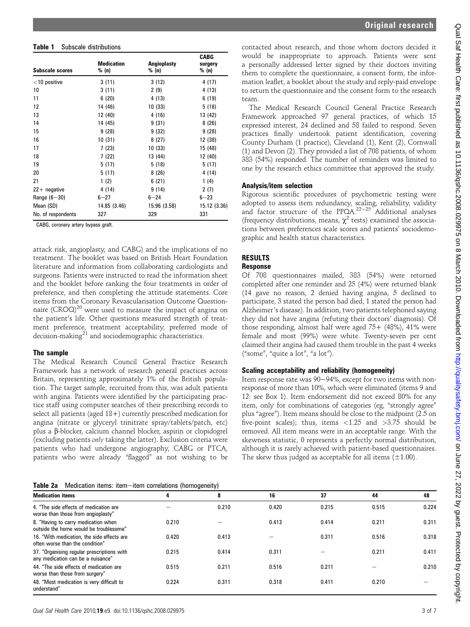| <b>Subscale scores</b> | <b>Medication</b><br>% (n) | Angioplasty<br>% (n) | <b>CABG</b><br>surgery<br>% (n) |
|------------------------|----------------------------|----------------------|---------------------------------|
| $<$ 10 positive        | 3(11)                      | 3(12)                | 4 (17)                          |
| 10                     | 3(11)                      | 2(9)                 | 4 (13)                          |
| 11                     | 6(20)                      | 4(13)                | 6(19)                           |
| 12                     | 14 (46)                    | 10(33)               | 5(18)                           |
| 13                     | 12 (40)                    | 4(16)                | 13 (42)                         |
| 14                     | 14 (45)                    | 9(31)                | 8(26)                           |
| 15                     | 9(28)                      | 9(32)                | 9(28)                           |
| 16                     | 10(31)                     | 8(27)                | 12 (38)                         |
| 17                     | 7(23)                      | 10(33)               | 15 (48)                         |
| 18                     | 7(22)                      | 13 (44)              | 12 (40)                         |
| 19                     | 5(17)                      | 5(18)                | 5(17)                           |
| 20                     | 5(17)                      | 8(26)                | 4(14)                           |
| 21                     | 1(2)                       | 6(21)                | 1(4)                            |
| $22+$ negative         | 4 (14)                     | 9(14)                | 2(7)                            |
| Range $(6-30)$         | $6 - 27$                   | $6 - 24$             | $6 - 23$                        |
| Mean (SD)              | 14.85 (3.46)               | 15.96 (3.58)         | 15.12 (3.36)                    |
| No. of respondents     | 327                        | 329                  | 331                             |

CABG, coronary artery bypass graft.

attack risk, angioplasty, and CABG) and the implications of no treatment. The booklet was based on British Heart Foundation literature and information from collaborating cardiologists and surgeons. Patients were instructed to read the information sheet and the booklet before ranking the four treatments in order of preference, and then completing the attitude statements. Core items from the Coronary Revascularisation Outcome Questionnaire  $(CROQ)^{20}$  were used to measure the impact of angina on the patient's life. Other questions measured strength of treatment preference, treatment acceptability, preferred mode of decision-making $^{21}$  and sociodemographic characteristics.

#### The sample

The Medical Research Council General Practice Research Framework has a network of research general practices across Britain, representing approximately 1% of the British population. The target sample, recruited from this, was adult patients with angina. Patients were identified by the participating practice staff using computer searches of their prescribing records to select all patients (aged 18+) currently prescribed medication for angina (nitrate or glyceryl trinitrate spray/tablets/patch, etc) plus a b-blocker, calcium channel blocker, aspirin or clopidogrel (excluding patients only taking the latter). Exclusion criteria were patients who had undergone angiography, CABG or PTCA, patients who were already "flagged" as not wishing to be

Table 2a Medication items: itemeitem correlations (homogeneity)

contacted about research, and those whom doctors decided it would be inappropriate to approach. Patients were sent a personally addressed letter signed by their doctors inviting them to complete the questionnaire, a consent form, the information leaflet, a booklet about the study and reply-paid envelope to return the questionnaire and the consent form to the research team.

The Medical Research Council General Practice Research Framework approached 97 general practices, of which 15 expressed interest, 24 declined and 58 failed to respond. Seven practices finally undertook patient identification, covering County Durham (1 practice), Cleveland (1), Kent (2), Cornwall (1) and Devon (2). They provided a list of 708 patients, of whom 383 (54%) responded. The number of reminders was limited to one by the research ethics committee that approved the study.

#### Analysis/item selection

Rigorous scientific procedures of psychometric testing were adopted to assess item redundancy, scaling, reliability, validity and factor structure of the PPQA.<sup>22-25</sup> Additional analyses (frequency distributions, means,  $\chi^2$  tests) examined the associations between preferences scale scores and patients' sociodemographic and health status characteristics.

## RESULTS

#### Response

Of 708 questionnaires mailed, 383 (54%) were returned completed after one reminder and 25 (4%) were returned blank (14 gave no reason, 2 denied having angina, 5 declined to participate, 3 stated the person had died, 1 stated the person had Alzheimer's disease). In addition, two patients telephoned saying they did not have angina (refuting their doctors' diagnosis). Of those responding, almost half were aged  $75+$  (48%), 41% were female and most (99%) were white. Twenty-seven per cent claimed their angina had caused them trouble in the past 4 weeks ("some", "quite a lot", "a lot").

#### Scaling acceptability and reliability (homogeneity)

Item response rate was 90-94%, except for two items with nonresponse of more than 10%, which were eliminated (items 9 and 12: see Box 1). Item endorsement did not exceed 80% for any item, only for combinations of categories (eg, "strongly agree" plus "agree"). Item means should be close to the midpoint (2.5 on five-point scales); thus, items <1.25 and >3.75 should be removed. All item means were in an acceptable range. With the skewness statistic, 0 represents a perfectly normal distribution, although it is rarely achieved with patient-based questionnaires. The skew thus judged as acceptable for all items  $(\pm 1.00)$ .

| <b>Medication items</b>                                                         | 4     | 8     | 16    | 37    | 44    | 48    |  |  |
|---------------------------------------------------------------------------------|-------|-------|-------|-------|-------|-------|--|--|
| 4. "The side effects of medication are<br>worse than those from angioplasty"    |       | 0.210 | 0.420 | 0.215 | 0.515 | 0.224 |  |  |
| 8. "Having to carry medication when<br>outside the home would be troublesome"   | 0.210 |       | 0.413 | 0.414 | 0.211 | 0.311 |  |  |
| 16. "With medication, the side effects are<br>often worse than the condition"   | 0.420 | 0.413 |       | 0.311 | 0.516 | 0.318 |  |  |
| 37. "Organising regular prescriptions with<br>any medication can be a nuisance" | 0.215 | 0.414 | 0.311 |       | 0.211 | 0.411 |  |  |
| 44. "The side effects of medication are<br>worse than those from surgery"       | 0.515 | 0.211 | 0.516 | 0.211 |       | 0.210 |  |  |
| 48. "Most medication is very difficult to<br>understand"                        | 0.224 | 0.311 | 0.318 | 0.411 | 0.210 |       |  |  |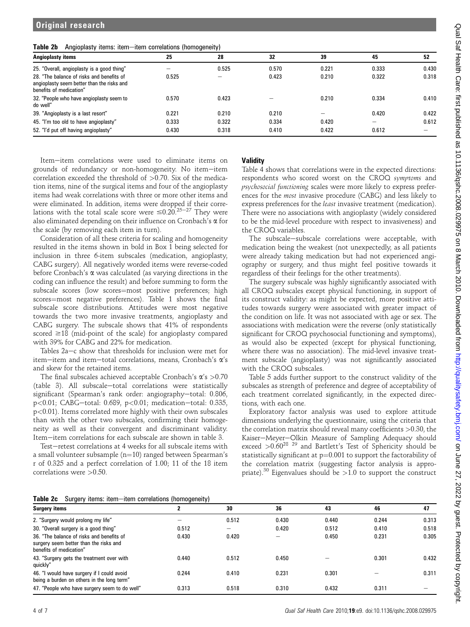#### Table 2b Angioplasty items: itemeitem correlations (homogeneity)

| Angioplasty items                                                                                                  | 25    | 28    | 32    | 39    | 45    | 52    |
|--------------------------------------------------------------------------------------------------------------------|-------|-------|-------|-------|-------|-------|
| 25. "Overall, angioplasty is a good thing"                                                                         |       | 0.525 | 0.570 | 0.221 | 0.333 | 0.430 |
| 28. "The balance of risks and benefits of<br>angioplasty seem better than the risks and<br>benefits of medication" | 0.525 |       | 0.423 | 0.210 | 0.322 | 0.318 |
| 32. "People who have angioplasty seem to<br>do well"                                                               | 0.570 | 0.423 |       | 0.210 | 0.334 | 0.410 |
| 39. "Angioplasty is a last resort"                                                                                 | 0.221 | 0.210 | 0.210 |       | 0.420 | 0.422 |
| 45. "I'm too old to have angioplasty"                                                                              | 0.333 | 0.322 | 0.334 | 0.420 |       | 0.612 |
| 52. "I'd put off having angioplasty"                                                                               | 0.430 | 0.318 | 0.410 | 0.422 | 0.612 |       |

Item-item correlations were used to eliminate items on grounds of redundancy or non-homogeneity. No item-item correlation exceeded the threshold of >0.70. Six of the medication items, nine of the surgical items and four of the angioplasty items had weak correlations with three or more other items and were eliminated. In addition, items were dropped if their correlations with the total scale score were  $\leq 0.20$ <sup>25-27</sup> They were also eliminated depending on their influence on Cronbach's  $\alpha$  for the scale (by removing each item in turn).

Consideration of all these criteria for scaling and homogeneity resulted in the items shown in bold in Box 1 being selected for inclusion in three 6-item subscales (medication, angioplasty, CABG surgery). All negatively worded items were reverse-coded before Cronbach's  $\alpha$  was calculated (as varying directions in the coding can influence the result) and before summing to form the subscale scores (low scores=most positive preferences; high scores=most negative preferences). Table 1 shows the final subscale score distributions. Attitudes were most negative towards the two more invasive treatments, angioplasty and CABG surgery. The subscale shows that 41% of respondents scored  $\geq$ 18 (mid-point of the scale) for angioplasty compared with 39% for CABG and 22% for medication.

Tables 2a-c show that thresholds for inclusion were met for item-item and item-total correlations, means, Cronbach's  $\alpha$ 's and skew for the retained items.

The final subscales achieved acceptable Cronbach's  $\alpha$ 's  $>0.70$ (table 3). All subscale-total correlations were statistically significant (Spearman's rank order: angiography-total: 0.806,  $p < 0.01$ ; CABG-total: 0.689,  $p < 0.01$ ; medication-total: 0.335, p<0.01). Items correlated more highly with their own subscales than with the other two subscales, confirming their homogeneity as well as their convergent and discriminant validity. Item-item correlations for each subscale are shown in table 3.

Test-retest correlations at 4 weeks for all subscale items with a small volunteer subsample ( $n=10$ ) ranged between Spearman's r of 0.325 and a perfect correlation of 1.00; 11 of the 18 item correlations were >0.50.

# **Validity**

Table 4 shows that correlations were in the expected directions: respondents who scored worst on the CROQ symptoms and psychosocial functioning scales were more likely to express preferences for the most invasive procedure (CABG) and less likely to express preferences for the least invasive treatment (medication). There were no associations with angioplasty (widely considered to be the mid-level procedure with respect to invasiveness) and the CROQ variables.

The subscale-subscale correlations were acceptable, with medication being the weakest (not unexpectedly, as all patients were already taking medication but had not experienced angiography or surgery, and thus might feel positive towards it regardless of their feelings for the other treatments).

The surgery subscale was highly significantly associated with all CROQ subscales except physical functioning, in support of its construct validity: as might be expected, more positive attitudes towards surgery were associated with greater impact of the condition on life. It was not associated with age or sex. The associations with medication were the reverse (only statistically significant for CROQ psychosocial functioning and symptoms), as would also be expected (except for physical functioning, where there was no association). The mid-level invasive treatment subscale (angioplasty) was not significantly associated with the CROQ subscales.

Table 5 adds further support to the construct validity of the subscales as strength of preference and degree of acceptability of each treatment correlated significantly, in the expected directions, with each one.

Exploratory factor analysis was used to explore attitude dimensions underlying the questionnaire, using the criteria that the correlation matrix should reveal many coefficients >0.30, the Kaiser-Meyer-Olkin Measure of Sampling Adequacy should exceed  $>0.60^{28}$  <sup>29</sup> and Bartlett's Test of Sphericity should be statistically significant at  $p=0.001$  to support the factorability of the correlation matrix (suggesting factor analysis is appropriate).<sup>30</sup> Eigenvalues should be  $>1.0$  to support the construct

|  | Table 2c Surgery items: item-item correlations (homogeneity) |  |  |  |
|--|--------------------------------------------------------------|--|--|--|
|--|--------------------------------------------------------------|--|--|--|

| <b>Table 20</b> Ourgely Reflix. Refli Refli Correlations (Homogeneity)                                         |       |       |       |       |       |       |  |  |
|----------------------------------------------------------------------------------------------------------------|-------|-------|-------|-------|-------|-------|--|--|
| <b>Surgery items</b>                                                                                           | 2     | 30    | 36    | 43    | 46    | 47    |  |  |
| 2. "Surgery would prolong my life"                                                                             |       | 0.512 | 0.430 | 0.440 | 0.244 | 0.313 |  |  |
| 30. "Overall surgery is a good thing"                                                                          | 0.512 | -     | 0.420 | 0.512 | 0.410 | 0.518 |  |  |
| 36. "The balance of risks and benefits of<br>surgery seem better than the risks and<br>benefits of medication" | 0.430 | 0.420 | -     | 0.450 | 0.231 | 0.305 |  |  |
| 43. "Surgery gets the treatment over with<br>quickly"                                                          | 0.440 | 0.512 | 0.450 |       | 0.301 | 0.432 |  |  |
| 46. "I would have surgery if I could avoid<br>being a burden on others in the long term"                       | 0.244 | 0.410 | 0.231 | 0.301 |       | 0.311 |  |  |
| 47. "People who have surgery seem to do well"                                                                  | 0.313 | 0.518 | 0.310 | 0.432 | 0.311 |       |  |  |
|                                                                                                                |       |       |       |       |       |       |  |  |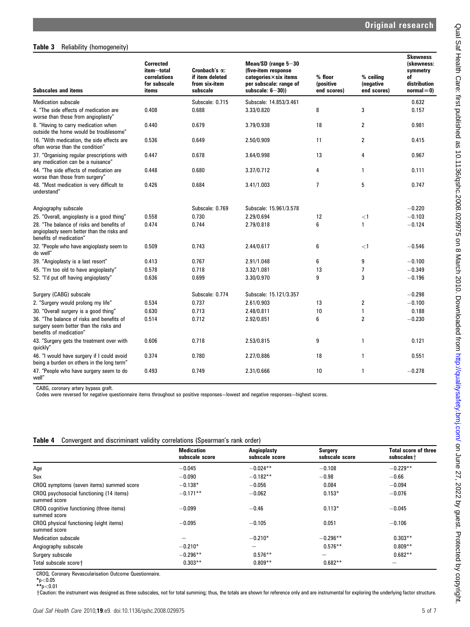#### Table 3 Reliability (homogeneity)

| <b>Subscales and items</b>                                                                                         | <b>Corrected</b><br>item-total<br>correlations<br>for subscale<br>items | Cronbach's $\alpha$ :<br>if item deleted<br>from six-item<br>subscale | Mean/SD (range 5-30<br>(five-item response<br>$categories \times six$ items<br>per subscale: range of<br>subscale: $6-30$ )) | % floor<br><i>(positive</i><br>end scores) | % ceilina<br>(negative<br>end scores) | <b>Skewness</b><br>(skewness:<br>symmetry<br>of<br>distribution<br>$normal = 0$ |
|--------------------------------------------------------------------------------------------------------------------|-------------------------------------------------------------------------|-----------------------------------------------------------------------|------------------------------------------------------------------------------------------------------------------------------|--------------------------------------------|---------------------------------------|---------------------------------------------------------------------------------|
| <b>Medication subscale</b>                                                                                         |                                                                         | Subscale: 0.715                                                       | Subscale: 14.853/3.461                                                                                                       |                                            |                                       | 0.632                                                                           |
| 4. "The side effects of medication are<br>worse than those from angioplasty"                                       | 0.408                                                                   | 0.688                                                                 | 3.33/0.820                                                                                                                   | 8                                          | 3                                     | 0.157                                                                           |
| 8. "Having to carry medication when<br>outside the home would be troublesome"                                      | 0.440                                                                   | 0.679                                                                 | 3.79/0.938                                                                                                                   | 18                                         | 2                                     | 0.981                                                                           |
| 16. "With medication, the side effects are<br>often worse than the condition"                                      | 0.536                                                                   | 0.649                                                                 | 2.50/0.909                                                                                                                   | 11                                         | $\overline{c}$                        | 0.415                                                                           |
| 37. "Organising regular prescriptions with<br>any medication can be a nuisance"                                    | 0.447                                                                   | 0.678                                                                 | 3.64/0.998                                                                                                                   | 13                                         | 4                                     | 0.967                                                                           |
| 44. "The side effects of medication are<br>worse than those from surgery"                                          | 0.448                                                                   | 0.680                                                                 | 3.37/0.712                                                                                                                   | 4                                          | 1                                     | 0.111                                                                           |
| 48. "Most medication is very difficult to<br>understand"                                                           | 0.426                                                                   | 0.684                                                                 | 3.41/1.003                                                                                                                   | $\overline{1}$                             | 5                                     | 0.747                                                                           |
| Angiography subscale                                                                                               |                                                                         | Subscale: 0.769                                                       | Subscale: 15.961/3.578                                                                                                       |                                            |                                       | $-0.220$                                                                        |
| 25. "Overall, angioplasty is a good thing"                                                                         | 0.558                                                                   | 0.730                                                                 | 2.29/0.694                                                                                                                   | 12                                         | $<$ 1                                 | $-0.103$                                                                        |
| 28. "The balance of risks and benefits of<br>angioplasty seem better than the risks and<br>benefits of medication" | 0.474                                                                   | 0.744                                                                 | 2.79/0.818                                                                                                                   | 6                                          | 1                                     | $-0.124$                                                                        |
| 32. "People who have angioplasty seem to<br>do well"                                                               | 0.509                                                                   | 0.743                                                                 | 2.44/0.617                                                                                                                   | 6                                          | $<$ 1                                 | $-0.546$                                                                        |
| 39. "Angioplasty is a last resort"                                                                                 | 0.413                                                                   | 0.767                                                                 | 2.91/1.048                                                                                                                   | 6                                          | 9                                     | $-0.100$                                                                        |
| 45. "I'm too old to have angioplasty"                                                                              | 0.578                                                                   | 0.718                                                                 | 3.32/1.081                                                                                                                   | 13                                         | 7                                     | $-0.349$                                                                        |
| 52. "I'd put off having angioplasty"                                                                               | 0.636                                                                   | 0.699                                                                 | 3.30/0.970                                                                                                                   | 9                                          | 3                                     | $-0.196$                                                                        |
| Surgery (CABG) subscale                                                                                            |                                                                         | Subscale: 0.774                                                       | Subscale: 15.121/3.357                                                                                                       |                                            |                                       | $-0.298$                                                                        |
| 2. "Surgery would prolong my life"                                                                                 | 0.534                                                                   | 0.737                                                                 | 2.61/0.903                                                                                                                   | 13                                         | $\overline{2}$                        | $-0.100$                                                                        |
| 30. "Overall surgery is a good thing"                                                                              | 0.630                                                                   | 0.713                                                                 | 2.48/0.811                                                                                                                   | 10                                         | $\mathbf{1}$                          | 0.188                                                                           |
| 36. "The balance of risks and benefits of<br>surgery seem better than the risks and<br>benefits of medication"     | 0.514                                                                   | 0.712                                                                 | 2.92/0.851                                                                                                                   | 6                                          | 2                                     | $-0.230$                                                                        |
| 43. "Surgery gets the treatment over with<br>quickly"                                                              | 0.606                                                                   | 0.718                                                                 | 2.53/0.815                                                                                                                   | 9                                          | $\mathbf{1}$                          | 0.121                                                                           |
| 46. "I would have surgery if I could avoid<br>being a burden on others in the long term"                           | 0.374                                                                   | 0.780                                                                 | 2.27/0.886                                                                                                                   | 18                                         | 1                                     | 0.551                                                                           |
| 47. "People who have surgery seem to do<br>well"                                                                   | 0.493                                                                   | 0.749                                                                 | 2.31/0.666                                                                                                                   | 10                                         | 1                                     | $-0.278$                                                                        |

CABG, coronary artery bypass graft.

Codes were reversed for negative questionnaire items throughout so positive responses=lowest and negative responses=highest scores.

|  |  | Table 4 Convergent and discriminant validity correlations (Spearman's rank order) |  |  |  |
|--|--|-----------------------------------------------------------------------------------|--|--|--|
|--|--|-----------------------------------------------------------------------------------|--|--|--|

|                                                          | <b>Medication</b><br>subscale score | Angioplasty<br>subscale score | Surgery<br>subscale score | <b>Total score of three</b><br>subscales + |
|----------------------------------------------------------|-------------------------------------|-------------------------------|---------------------------|--------------------------------------------|
| Age                                                      | $-0.045$                            | $-0.024**$                    | $-0.108$                  | $-0.229**$                                 |
| Sex                                                      | $-0.090$                            | $-0.182**$                    | $-0.98$                   | $-0.66$                                    |
| CROQ symptoms (seven items) summed score                 | $-0.138*$                           | $-0.056$                      | 0.084                     | $-0.094$                                   |
| CROQ psychosocial functioning (14 items)<br>summed score | $-0.171**$                          | $-0.062$                      | $0.153*$                  | $-0.076$                                   |
| CROQ cognitive functioning (three items)<br>summed score | $-0.099$                            | $-0.46$                       | $0.113*$                  | $-0.045$                                   |
| CROQ physical functioning (eight items)<br>summed score  | $-0.095$                            | $-0.105$                      | 0.051                     | $-0.106$                                   |
| <b>Medication subscale</b>                               |                                     | $-0.210*$                     | $-0.296**$                | $0.303**$                                  |
| Angiography subscale                                     | $-0.210*$                           |                               | $0.576**$                 | $0.809**$                                  |
| Surgery subscale                                         | $-0.296**$                          | $0.576**$                     | -                         | $0.682**$                                  |
| Total subscale score+                                    | $0.303**$                           | $0.809**$                     | $0.682**$                 |                                            |

CROQ, Coronary Revascularisation Outcome Questionnaire.<br>\*p<0.05<br>\*\*p<0.01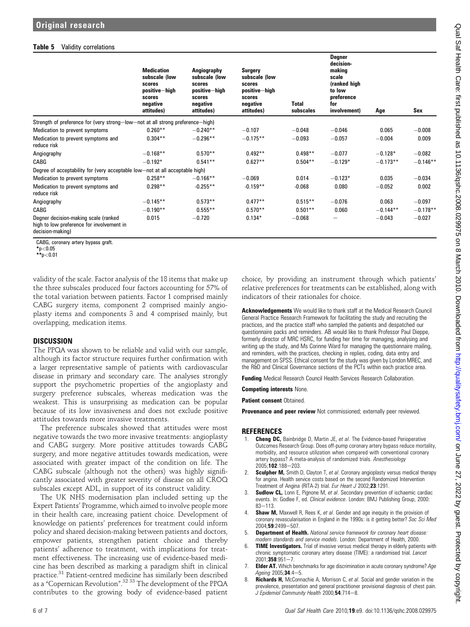### Table 5 Validity correlations

|                                                                                                       | <b>Medication</b><br>subscale (low<br>scores<br>positive-high<br>scores<br>negative<br>attitudes) | Angiography<br>subscale (low<br>scores<br>positive-high<br>scores<br>negative<br>attitudes) | Surgery<br>subscale (low<br>scores<br>positive-high<br>scores<br>negative<br>attitudes) | <b>Total</b><br>subscales | Degner<br>decision-<br>making<br>scale<br>(ranked high<br>to low<br>preference<br>for<br>involvement) | Age        | Sex        |
|-------------------------------------------------------------------------------------------------------|---------------------------------------------------------------------------------------------------|---------------------------------------------------------------------------------------------|-----------------------------------------------------------------------------------------|---------------------------|-------------------------------------------------------------------------------------------------------|------------|------------|
| Strength of preference for (very strong-low-not at all strong preference-high)                        |                                                                                                   |                                                                                             |                                                                                         |                           |                                                                                                       |            |            |
| Medication to prevent symptoms                                                                        | $0.260**$                                                                                         | $-0.240**$                                                                                  | $-0.107$                                                                                | $-0.048$                  | $-0.046$                                                                                              | 0.065      | $-0.008$   |
| Medication to prevent symptoms and<br>reduce risk                                                     | $0.304**$                                                                                         | $-0.296**$                                                                                  | $-0.175**$                                                                              | $-0.093$                  | $-0.057$                                                                                              | $-0.004$   | 0.009      |
| Angiography                                                                                           | $-0.168**$                                                                                        | $0.570**$                                                                                   | $0.492**$                                                                               | $0.498**$                 | $-0.077$                                                                                              | $-0.128*$  | $-0.082$   |
| CABG                                                                                                  | $-0.192*$                                                                                         | $0.541**$                                                                                   | $0.627**$                                                                               | $0.504**$                 | $-0.129*$                                                                                             | $-0.173**$ | $-0.146**$ |
| Degree of acceptability for (very acceptable low-not at all acceptable high)                          |                                                                                                   |                                                                                             |                                                                                         |                           |                                                                                                       |            |            |
| Medication to prevent symptoms                                                                        | $0.258**$                                                                                         | $-0.166**$                                                                                  | $-0.069$                                                                                | 0.014                     | $-0.123*$                                                                                             | 0.035      | $-0.034$   |
| Medication to prevent symptoms and<br>reduce risk                                                     | $0.298**$                                                                                         | $-0.255**$                                                                                  | $-0.159**$                                                                              | $-0.068$                  | 0.080                                                                                                 | $-0.052$   | 0.002      |
| Angiography                                                                                           | $-0.145**$                                                                                        | $0.573**$                                                                                   | $0.477**$                                                                               | $0.515**$                 | $-0.076$                                                                                              | 0.063      | $-0.097$   |
| CABG                                                                                                  | $-0.190**$                                                                                        | $0.555**$                                                                                   | $0.570**$                                                                               | $0.501**$                 | 0.060                                                                                                 | $-0.144**$ | $-0.178**$ |
| Degner decision-making scale (ranked<br>high to low preference for involvement in<br>decision-making) | 0.015                                                                                             | $-0.720$                                                                                    | $0.134*$                                                                                | $-0.068$                  | -                                                                                                     | $-0.043$   | $-0.027$   |

CABG, coronary artery bypass graft.

 $*_{p<0.05}$ 

\*\*p<0.01

validity of the scale. Factor analysis of the 18 items that make up the three subscales produced four factors accounting for 57% of the total variation between patients. Factor 1 comprised mainly CABG surgery items, component 2 comprised mainly angioplasty items and components 3 and 4 comprised mainly, but overlapping, medication items.

#### **DISCUSSION**

The PPQA was shown to be reliable and valid with our sample, although its factor structure requires further confirmation with a larger representative sample of patients with cardiovascular disease in primary and secondary care. The analyses strongly support the psychometric properties of the angioplasty and surgery preference subscales, whereas medication was the weakest. This is unsurprising as medication can be popular because of its low invasiveness and does not exclude positive attitudes towards more invasive treatments.

The preference subscales showed that attitudes were most negative towards the two more invasive treatments: angioplasty and CABG surgery. More positive attitudes towards CABG surgery, and more negative attitudes towards medication, were associated with greater impact of the condition on life. The CABG subscale (although not the others) was highly significantly associated with greater severity of disease on all CROQ subscales except ADL, in support of its construct validity.

The UK NHS modernisation plan included setting up the Expert Patients' Programme, which aimed to involve people more in their health care, increasing patient choice. Development of knowledge on patients' preferences for treatment could inform policy and shared decision-making between patients and doctors, empower patients, strengthen patient choice and thereby patients' adherence to treatment, with implications for treatment effectiveness. The increasing use of evidence-based medicine has been described as marking a paradigm shift in clinical practice.<sup>31</sup> Patient-centred medicine has similarly been described as a "Copernican Revolution". <sup>32-33</sup> The development of the PPQA contributes to the growing body of evidence-based patient choice, by providing an instrument through which patients' relative preferences for treatments can be established, along with indicators of their rationales for choice.

Acknowledgements We would like to thank staff at the Medical Research Council General Practice Research Framework for facilitating the study and recruiting the practices, and the practice staff who sampled the patients and despatched our questionnaire packs and reminders. AB would like to thank Professor Paul Dieppe, formerly director of MRC HSRC, for funding her time for managing, analysing and writing up the study, and Ms Corinne Ward for managing the questionnaire mailing, and reminders, with the practices, checking in replies, coding, data entry and management on SPSS. Ethical consent for the study was given by London MREC, and the R&D and Clinical Governance sections of the PCTs within each practice area.

Funding Medical Research Council Health Services Research Collaboration.

Competing interests None.

Patient consent Obtained.

**Provenance and peer review** Not commissioned; externally peer reviewed.

#### **REFERENCES**

- 1. **Cheng DC,** Bainbridge D, Martin JE, et al. The Evidence-based Perioperative Outcomes Research Group. Does off-pump coronary artery bypass reduce mortality, morbidity, and resource utilization when compared with conventional coronary artery bypass? A meta-analysis of randomized trials. Anesthesiology 2005:102:188-203
- 2. Sculpher M, Smith D, Clayton T, et al. Coronary angioplasty versus medical therapy for angina. Health service costs based on the second Randomized Intervention Treatment of Angina (RITA-2) trial. Eur Heart J 2002;23:1291.
- 3. Sudlow CL, Lonn E, Pignone M, et al. Secondary prevention of ischaemic cardiac events. In: Godlee F, ed. Clinical evidence. London: BMJ Publishing Group, 2000:  $83 - 113$
- 4. **Shaw M,** Maxwell R, Rees K, et al. Gender and age inequity in the provision of coronary revascularisation in England in the 1990s: is it getting better? Soc Sci Med 2004:59:2499-507.
- 5. Department of Health. National service framework for coronary heart disease: modern standards and service models. London: Department of Health, 2000.
- 6. TIME Investigators. Trial of invasive versus medical therapy in elderly patients with chronic symptomatic coronary artery disease (TIME): a randomised trial. Lancet  $2001:358:951-7$
- **Elder AT.** Which benchmarks for age discrimination in acute coronary syndrome? Age Ageing 2005;34:4-5.
- **Richards H,** McConnachie A, Morrison C, et al. Social and gender variation in the prevalence, presentation and general practitioner provisional diagnosis of chest pain. J Epidemiol Community Health 2000;54:714-8.